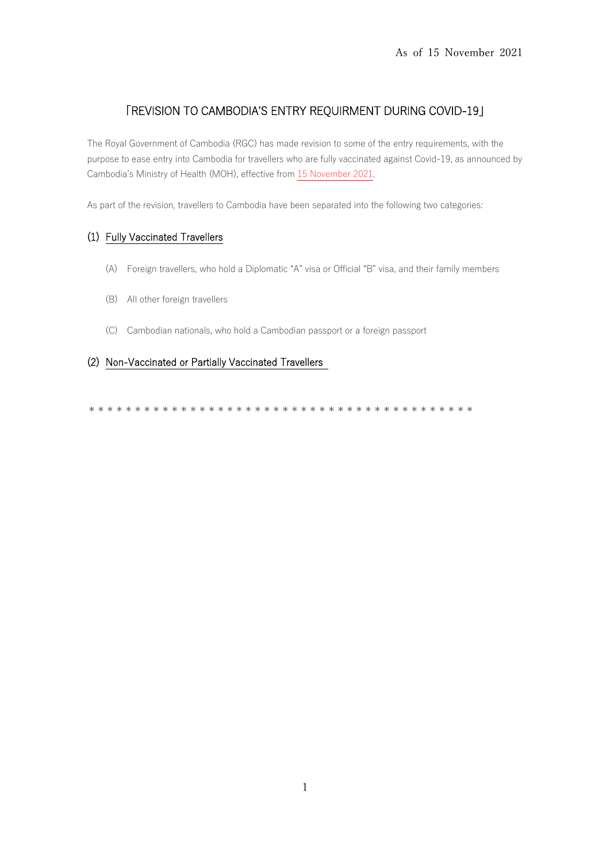# **TREVISION TO CAMBODIA'S ENTRY REQUIRMENT DURING COVID-19J**

The Royal Government of Cambodia (RGC) has made revision to some of the entry requirements, with the purpose to ease entry into Cambodia for travellers who are fully vaccinated against Covid-19, as announced by Cambodia's Ministry of Health (MOH), effective from 15 November 2021.

As part of the revision, travellers to Cambodia have been separated into the following two categories:

# (1) Fully Vaccinated Travellers

- (A) Foreign travellers, who hold a Diplomatic "A" visa or Official "B" visa, and their family members
- (B) All other foreign travellers
- (C) Cambodian nationals, who hold a Cambodian passport or a foreign passport

# (2) Non-Vaccinated or Partially Vaccinated Travellers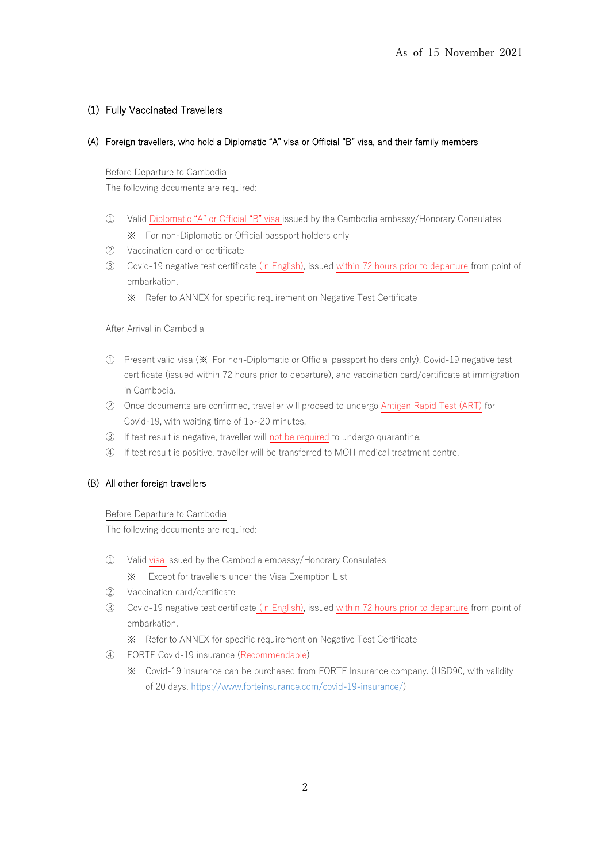# (1) Fully Vaccinated Travellers

### (A) Foreign travellers, who hold a Diplomatic "A" visa or Official "B" visa, and their family members

### Before Departure to Cambodia

The following documents are required:

- ① Valid Diplomatic "A" or Official "B" visa issued by the Cambodia embassy/Honorary Consulates ※ For non-Diplomatic or Official passport holders only
- ② Vaccination card or certificate
- ③ Covid-19 negative test certificate (in English), issued within 72 hours prior to departure from point of embarkation.
	- ※ Refer to ANNEX for specific requirement on Negative Test Certificate

### After Arrival in Cambodia

- ① Present valid visa (※ For non-Diplomatic or Official passport holders only), Covid-19 negative test certificate (issued within 72 hours prior to departure), and vaccination card/certificate at immigration in Cambodia.
- ② Once documents are confirmed, traveller will proceed to undergo Antigen Rapid Test (ART) for Covid-19, with waiting time of 15~20 minutes,
- ③ If test result is negative, traveller will not be required to undergo quarantine.
- ④ If test result is positive, traveller will be transferred to MOH medical treatment centre.

### (B) All other foreign travellers

### Before Departure to Cambodia

The following documents are required:

- ① Valid visa issued by the Cambodia embassy/Honorary Consulates ※ Except for travellers under the Visa Exemption List
- ② Vaccination card/certificate
- ③ Covid-19 negative test certificate (in English), issued within 72 hours prior to departure from point of embarkation.
	- ※ Refer to ANNEX for specific requirement on Negative Test Certificate
- ④ FORTE Covid-19 insurance (Recommendable)
	- ※ Covid-19 insurance can be purchased from FORTE Insurance company. (USD90, with validity of 20 days, [https://www.forteinsurance.com/covid-19-insurance/\)](https://www.forteinsurance.com/covid-19-insurance/)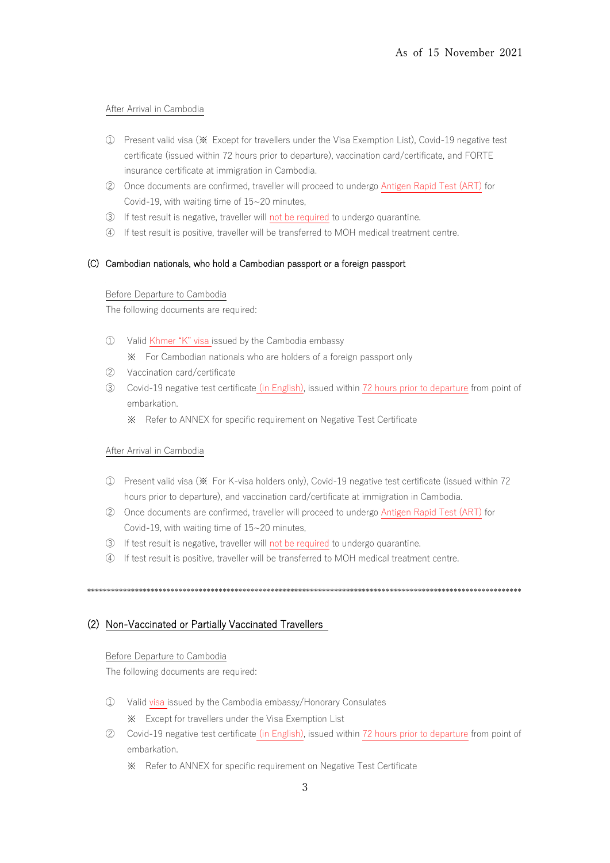### After Arrival in Cambodia

- 1) Present valid visa (※ Except for travellers under the Visa Exemption List), Covid-19 negative test certificate (issued within 72 hours prior to departure), vaccination card/certificate, and FORTE insurance certificate at immigration in Cambodia.
- 2 Once documents are confirmed, traveller will proceed to undergo Antigen Rapid Test (ART) for Covid-19, with waiting time of 15~20 minutes,
- 3 If test result is negative, traveller will not be required to undergo quarantine.
- 4) If test result is positive, traveller will be transferred to MOH medical treatment centre.

### (C) Cambodian nationals, who hold a Cambodian passport or a foreign passport

#### Before Departure to Cambodia

The following documents are required:

- 1 Valid Khmer "K" visa issued by the Cambodia embassy
	- \* For Cambodian nationals who are holders of a foreign passport only
- (2) Vaccination card/certificate
- 3 Covid-19 negative test certificate (in English), issued within 72 hours prior to departure from point of embarkation.
	- \* Refer to ANNEX for specific requirement on Negative Test Certificate

#### After Arrival in Cambodia

- (1) Present valid visa (※ For K-visa holders only), Covid-19 negative test certificate (issued within 72 hours prior to departure), and vaccination card/certificate at immigration in Cambodia.
- 2 Once documents are confirmed, traveller will proceed to undergo Antigen Rapid Test (ART) for Covid-19, with waiting time of 15~20 minutes,
- 3 If test result is negative, traveller will not be required to undergo quarantine.
- (4) If test result is positive, traveller will be transferred to MOH medical treatment centre.

## (2) Non-Vaccinated or Partially Vaccinated Travellers

### Before Departure to Cambodia

The following documents are required:

- 1) Valid visa issued by the Cambodia embassy/Honorary Consulates \* Except for travellers under the Visa Exemption List
- 2 Covid-19 negative test certificate (in English), issued within 72 hours prior to departure from point of embarkation.
	- \* Refer to ANNEX for specific requirement on Negative Test Certificate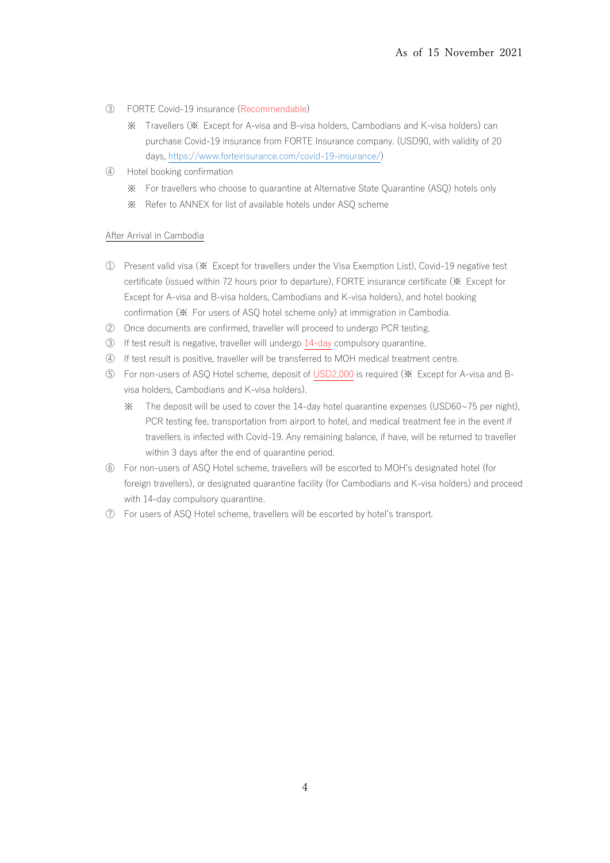- ③ FORTE Covid-19 insurance (Recommendable)
	- ※ Travellers (※ Except for A-visa and B-visa holders, Cambodians and K-visa holders) can purchase Covid-19 insurance from FORTE Insurance company. (USD90, with validity of 20 days, [https://www.forteinsurance.com/covid-19-insurance/\)](https://www.forteinsurance.com/covid-19-insurance/)
- ④ Hotel booking confirmation
	- ※ For travellers who choose to quarantine at Alternative State Quarantine (ASQ) hotels only
	- ※ Refer to ANNEX for list of available hotels under ASQ scheme

#### After Arrival in Cambodia

- ① Present valid visa (※ Except for travellers under the Visa Exemption List), Covid-19 negative test certificate (issued within 72 hours prior to departure), FORTE insurance certificate (※ Except for Except for A-visa and B-visa holders, Cambodians and K-visa holders), and hotel booking confirmation (※ For users of ASQ hotel scheme only) at immigration in Cambodia.
- ② Once documents are confirmed, traveller will proceed to undergo PCR testing.
- ③ If test result is negative, traveller will undergo 14-day compulsory quarantine.
- ④ If test result is positive, traveller will be transferred to MOH medical treatment centre.
- ⑤ For non-users of ASQ Hotel scheme, deposit of USD2,000 is required (※ Except for A-visa and Bvisa holders, Cambodians and K-visa holders).
	- ※ The deposit will be used to cover the 14-day hotel quarantine expenses (USD60~75 per night), PCR testing fee, transportation from airport to hotel, and medical treatment fee in the event if travellers is infected with Covid-19. Any remaining balance, if have, will be returned to traveller within 3 days after the end of quarantine period.
- ⑥ For non-users of ASQ Hotel scheme, travellers will be escorted to MOH's designated hotel (for foreign travellers), or designated quarantine facility (for Cambodians and K-visa holders) and proceed with 14-day compulsory quarantine.
- ⑦ For users of ASQ Hotel scheme, travellers will be escorted by hotel's transport.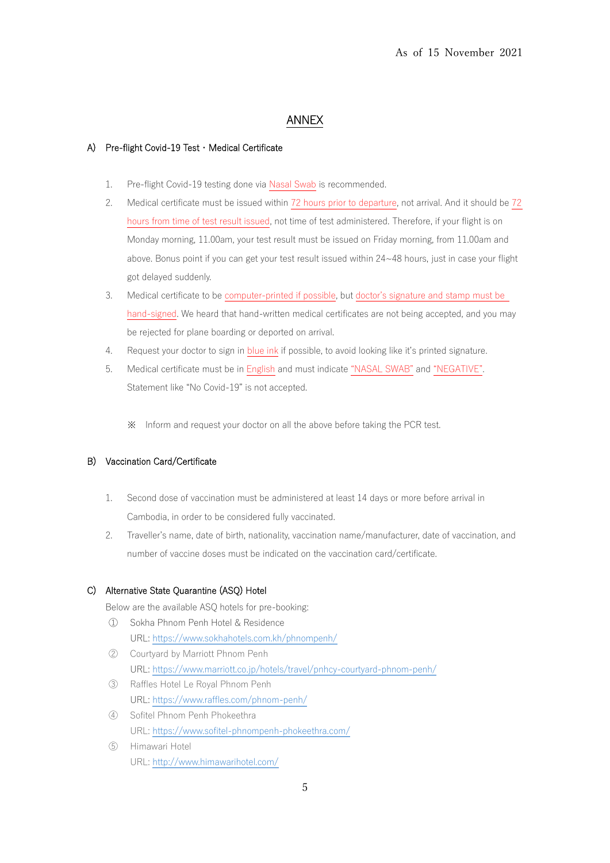# ANNEX

### A) Pre-flight Covid-19 Test・Medical Certificate

- 1. Pre-flight Covid-19 testing done via Nasal Swab is recommended.
- 2. Medical certificate must be issued within 72 hours prior to departure, not arrival. And it should be 72 hours from time of test result issued, not time of test administered. Therefore, if your flight is on Monday morning, 11.00am, your test result must be issued on Friday morning, from 11.00am and above. Bonus point if you can get your test result issued within 24~48 hours, just in case your flight got delayed suddenly.
- 3. Medical certificate to be computer-printed if possible, but doctor's signature and stamp must be hand-signed. We heard that hand-written medical certificates are not being accepted, and you may be rejected for plane boarding or deported on arrival.
- 4. Request your doctor to sign in blue ink if possible, to avoid looking like it's printed signature.
- 5. Medical certificate must be in English and must indicate "NASAL SWAB" and "NEGATIVE". Statement like "No Covid-19" is not accepted.
	- ※ Inform and request your doctor on all the above before taking the PCR test.

## B) Vaccination Card/Certificate

- 1. Second dose of vaccination must be administered at least 14 days or more before arrival in Cambodia, in order to be considered fully vaccinated.
- 2. Traveller's name, date of birth, nationality, vaccination name/manufacturer, date of vaccination, and number of vaccine doses must be indicated on the vaccination card/certificate.

## C) Alternative State Quarantine (ASQ) Hotel

Below are the available ASQ hotels for pre-booking:

- ① Sokha Phnom Penh Hotel & Residence URL: <https://www.sokhahotels.com.kh/phnompenh/>
- ② Courtyard by Marriott Phnom Penh URL: <https://www.marriott.co.jp/hotels/travel/pnhcy-courtyard-phnom-penh/>
- ③ Raffles Hotel Le Royal Phnom Penh URL: <https://www.raffles.com/phnom-penh/>
- ④ Sofitel Phnom Penh Phokeethra URL: <https://www.sofitel-phnompenh-phokeethra.com/>
- ⑤ Himawari Hotel URL:<http://www.himawarihotel.com/>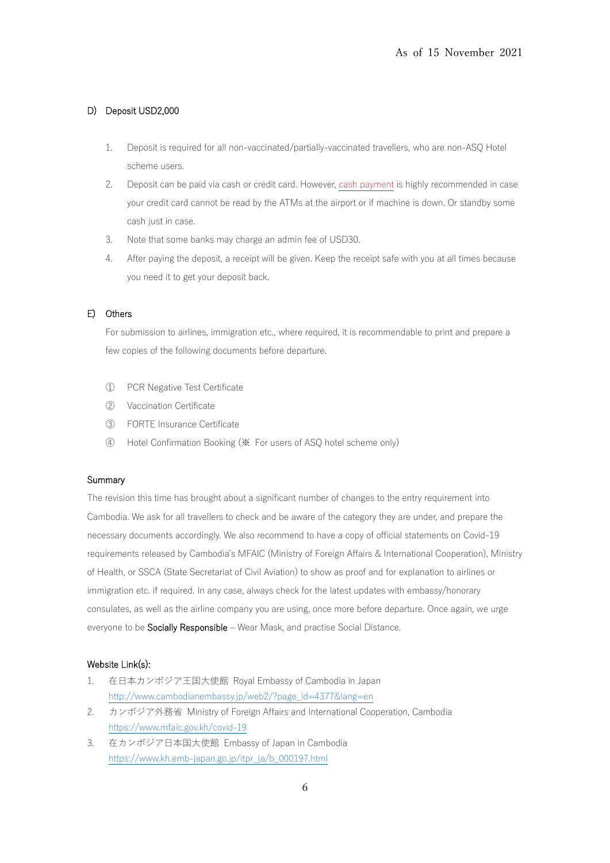### D) Deposit USD2,000

- 1. Deposit is required for all non-vaccinated/partially-vaccinated travellers, who are non-ASQ Hotel scheme users.
- 2. Deposit can be paid via cash or credit card. However, cash payment is highly recommended in case your credit card cannot be read by the ATMs at the airport or if machine is down. Or standby some cash just in case.
- 3. Note that some banks may charge an admin fee of USD30.
- 4. After paying the deposit, a receipt will be given. Keep the receipt safe with you at all times because you need it to get your deposit back.

### E) Others

For submission to airlines, immigration etc., where required, it is recommendable to print and prepare a few copies of the following documents before departure.

- ① PCR Negative Test Certificate
- ② Vaccination Certificate
- ③ FORTE Insurance Certificate
- ④ Hotel Confirmation Booking (※ For users of ASQ hotel scheme only)

#### Summary

The revision this time has brought about a significant number of changes to the entry requirement into Cambodia. We ask for all travellers to check and be aware of the category they are under, and prepare the necessary documents accordingly. We also recommend to have a copy of official statements on Covid-19 requirements released by Cambodia's MFAIC (Ministry of Foreign Affairs & International Cooperation), Ministry of Health, or SSCA (State Secretariat of Civil Aviation) to show as proof and for explanation to airlines or immigration etc. if required. In any case, always check for the latest updates with embassy/honorary consulates, as well as the airline company you are using, once more before departure. Once again, we urge everyone to be Socially Responsible – Wear Mask, and practise Social Distance.

#### Website Link(s):

- 1. 在日本カンボジア王国大使館 Royal Embassy of Cambodia in Japan [http://www.cambodianembassy.jp/web2/?page\\_id=4377&lang=en](http://www.cambodianembassy.jp/web2/?page_id=4377&lang=en)
- 2. カンボジア外務省 Ministry of Foreign Affairs and International Cooperation, Cambodia <https://www.mfaic.gov.kh/covid-19>
- 3. 在カンボジア日本国大使館 Embassy of Japan in Cambodia [https://www.kh.emb-japan.go.jp/itpr\\_ja/b\\_000197.html](https://www.kh.emb-japan.go.jp/itpr_ja/b_000197.html)